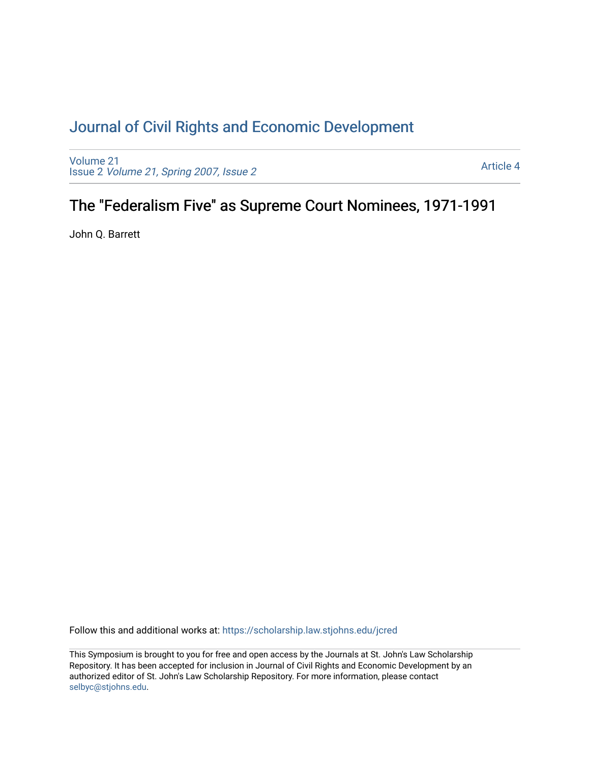# [Journal of Civil Rights and Economic Development](https://scholarship.law.stjohns.edu/jcred)

[Volume 21](https://scholarship.law.stjohns.edu/jcred/vol21) Issue 2 [Volume 21, Spring 2007, Issue 2](https://scholarship.law.stjohns.edu/jcred/vol21/iss2) 

[Article 4](https://scholarship.law.stjohns.edu/jcred/vol21/iss2/4) 

# The "Federalism Five" as Supreme Court Nominees, 1971-1991

John Q. Barrett

Follow this and additional works at: [https://scholarship.law.stjohns.edu/jcred](https://scholarship.law.stjohns.edu/jcred?utm_source=scholarship.law.stjohns.edu%2Fjcred%2Fvol21%2Fiss2%2F4&utm_medium=PDF&utm_campaign=PDFCoverPages) 

This Symposium is brought to you for free and open access by the Journals at St. John's Law Scholarship Repository. It has been accepted for inclusion in Journal of Civil Rights and Economic Development by an authorized editor of St. John's Law Scholarship Repository. For more information, please contact [selbyc@stjohns.edu](mailto:selbyc@stjohns.edu).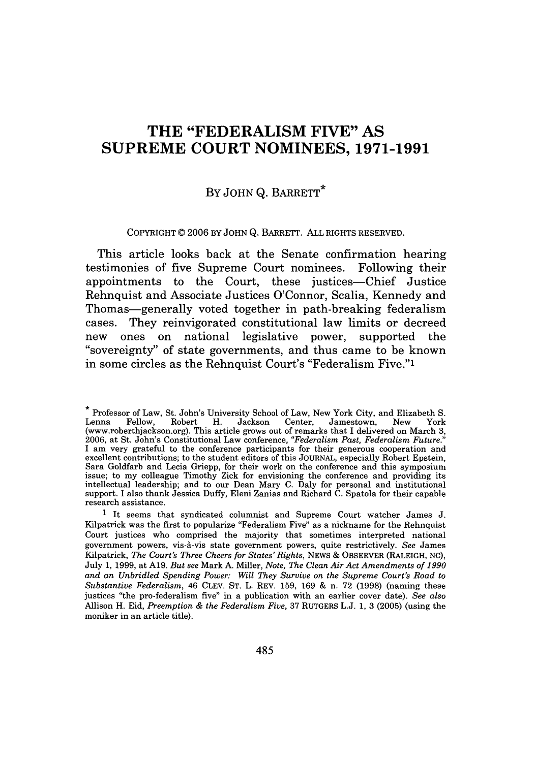## **THE "FEDERALISM FIVE" AS SUPREME COURT NOMINEES, 1971-1991**

### BY **JOHN Q. BARRETT**\*

COPYRIGHT © 2006 BY JOHN **Q.** BARRETT. ALL RIGHTS RESERVED.

This article looks back at the Senate confirmation hearing testimonies of five Supreme Court nominees. Following their appointments to the Court, these justices-Chief Justice Rehnquist and Associate Justices O'Connor, Scalia, Kennedy and Thomas-generally voted together in path-breaking federalism cases. They reinvigorated constitutional law limits or decreed new ones on national legislative power, supported the "sovereignty" of state governments, and thus came to be known in some circles as the Rehnquist Court's "Federalism Five."<sup>1</sup>

**<sup>\*</sup>** Professor of Law, St. John's University School of Law, New York City, and Elizabeth S. Lenna Fellow, Robert H. Jackson Center, Jamestown, New York (www.roberthjackson.org). This article grows out of remarks that I delivered on March 3, 2006, at St. John's Constitutional Law conference, *"Federalism Past, Federalism Future."* I am very grateful to the conference participants for their generous cooperation and excellent contributions; to the student editors of this JOURNAL, especially Robert Epstein, Sara Goldfarb and Lecia Griepp, for their work on the conference and this symposium issue; to my colleague Timothy Zick for envisioning the conference and providing its intellectual leadership; and to our Dean Mary C. Daly for personal and institutional support. I also thank Jessica Duffy, Eleni Zanias and Richard C. Spatola for their capable research assistance.

<sup>1</sup> It seems that syndicated columnist and Supreme Court watcher James J. Kilpatrick was the first to popularize "Federalism Five" as a nickname for the Rehnquist Court justices who comprised the majority that sometimes interpreted national government powers, vis-A-vis state government powers, quite restrictively. *See* James Kilpatrick, *The Court's Three Cheers for States' Rights,* NEWS & OBSERVER (RALEIGH, **NC),** July 1, 1999, at A19. *But see* Mark A. Miller, *Note, The Clean Air Act Amendments of 1990 and an Unbridled Spending Power: Will They Survive on the Supreme Court's Road to Substantive Federalism,* 46 **CLEV. ST.** L. REV. 159, 169 & n. 72 (1998) (naming these justices "the pro-federalism five" in a publication with an earlier cover date). *See also* Allison H. Eid, *Preemption & the Federalism Five,* 37 RUTGERS L.J. 1, 3 (2005) (using the moniker in an article title).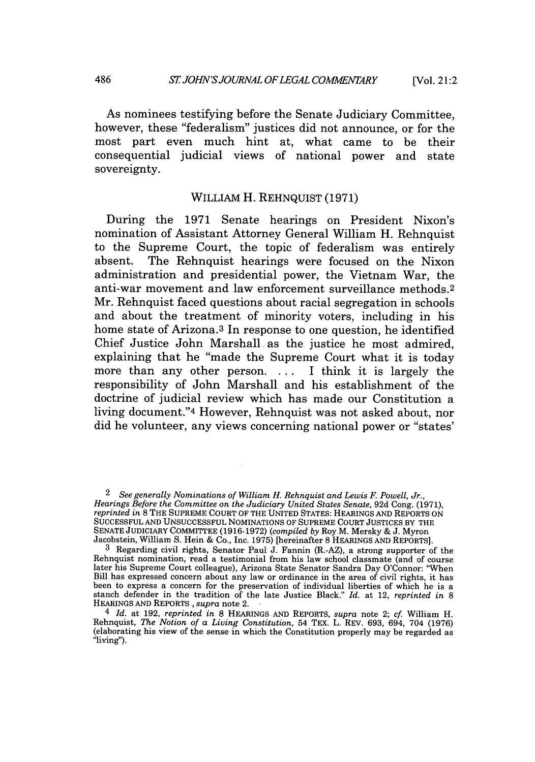[Vol. 21:2

As nominees testifying before the Senate Judiciary Committee, however, these "federalism" justices did not announce, or for the most part even much hint at, what came to be their consequential judicial views of national power and state sovereignty.

### WILLIAM H. REHNQUIST (1971)

During the 1971 Senate hearings on President Nixon's nomination of Assistant Attorney General William H. Rehnquist to the Supreme Court, the topic of federalism was entirely absent. The Rehnquist hearings were focused on the Nixon administration and presidential power, the Vietnam War, the anti-war movement and law enforcement surveillance methods. <sup>2</sup> Mr. Rehnquist faced questions about racial segregation in schools and about the treatment of minority voters, including in his home state of Arizona.<sup>3</sup> In response to one question, he identified Chief Justice John Marshall as the justice he most admired, explaining that he "made the Supreme Court what it is today more than any other person. . **.** . I think it is largely the responsibility of John Marshall and his establishment of the doctrine of judicial review which has made our Constitution a living document."4 However, Rehnquist was not asked about, nor did he volunteer, any views concerning national power or "states'

<sup>2</sup>*See generally Nominations of William H. Rehnquist and Lewis F. Powell, Jr., Hearings Before the Committee on the Judiciary United States Senate,* 92d Cong. (1971), *reprinted in* 8 THE SUPREME COURT OF THE UNITED STATES: HEARINGS AND REPORTS ON SUCCESSFUL AND UNSUCCESSFUL NOMINATIONS OF SUPREME COURT JUSTICES BY THE SENATE JUDICIARY COMMITTEE (1916-1972) *(compiled by* Roy M. Mersky & J. Myron Jacobstein, William S. Hein & Co., Inc. 1975) [hereinafter 8 HEARINGS AND REPORTS].

 $3$  Regarding civil rights, Senator Paul J. Fannin (R.-AZ), a strong supporter of the Rehnquist nomination, read a testimonial from his law school classmate (and of course later his Supreme Court colleague), Arizona State Senator Sandra Day O'Connor: "When Bill has expressed concern about any law or ordinance in the area of civil rights, it has been to express a concern for the preservation of individual liberties of which he is a stanch defender in the tradition of the late Justice Black." *Id.* at 12, *reprinted in* <sup>8</sup> HEARINGS AND REPORTS, *supra* note 2.

<sup>4</sup>*Id.* at 192, *reprinted in* 8 HEARINGS AND REPORTS, *supra* note 2; cf. William H. Rehnquist, *The Notion of a Living Constitution,* 54 TEX. L. REV. 693, 694, 704 (1976) (elaborating his view of the sense in which the Constitution properly may be regarded as "living").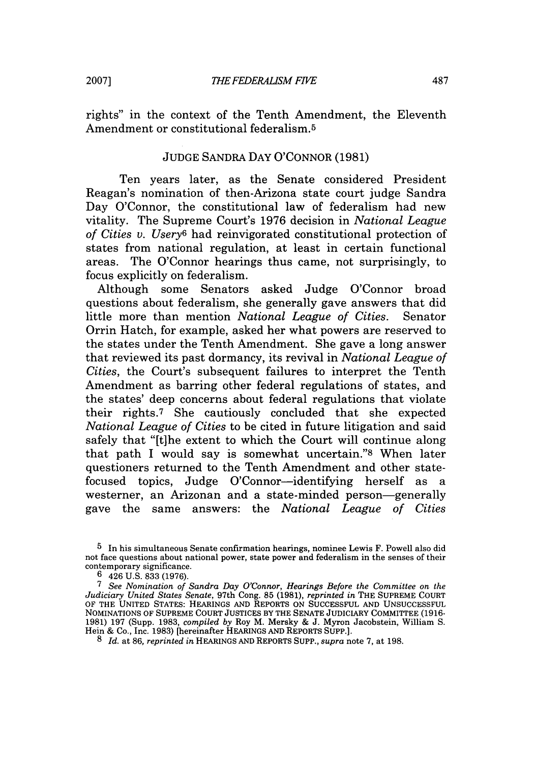rights" in the context of the Tenth Amendment, the Eleventh Amendment or constitutional federalism. <sup>5</sup>

#### JUDGE SANDRA DAY O'CONNOR (1981)

Ten years later, as the Senate considered President Reagan's nomination of then-Arizona state court judge Sandra Day O'Connor, the constitutional law of federalism had new vitality. The Supreme Court's 1976 decision in *National League of Cities v. Usery6* had reinvigorated constitutional protection of states from national regulation, at least in certain functional areas. The O'Connor hearings thus came, not surprisingly, to focus explicitly on federalism.

Although some Senators asked Judge O'Connor broad questions about federalism, she generally gave answers that did little more than mention *National League of Cities.* Senator Orrin Hatch, for example, asked her what powers are reserved to the states under the Tenth Amendment. She gave a long answer that reviewed its past dormancy, its revival in *National League of Cities,* the Court's subsequent failures to interpret the Tenth Amendment as barring other federal regulations of states, and the states' deep concerns about federal regulations that violate their rights.7 She cautiously concluded that she expected *National League of Cities* to be cited in future litigation and said safely that "[t]he extent to which the Court will continue along that path I would say is somewhat uncertain."8 When later questioners returned to the Tenth Amendment and other statefocused topics, Judge O'Connor-identifying herself as a westerner, an Arizonan and a state-minded person-generally gave the same answers: the *National League of Cities*

<sup>5</sup> In his simultaneous Senate confirmation hearings, nominee Lewis F. Powell also did not face questions about national power, state power and federalism in the senses of their contemporary significance.

 $6\quad 426$  U.S. 833 (1976).

**<sup>7</sup>***See Nomination of Sandra Day O'Connor, Hearings Before the Committee on the Judiciary United States Senate,* 97th Cong. 85 (1981), *reprinted in* THE SUPREME COURT OF THE UNITED STATES: HEARINGS AND REPORTS ON SUCCESSFUL AND UNSUCCESSFUL NOMINATIONS OF SUPREME COURT JUSTICES BY THE SENATE JUDICIARY COMMITTEE (1916- 1981) 197 (Supp. 1983, *compiled by* Roy M. Mersky & J. Myron Jacobstein, William S. Hein & Co., Inc. 1983) [hereinafter HEARINGS AND REPORTS **SUPP.].**

<sup>8</sup> *Id.* at 86, *reprinted in* HEARINGS AND REPORTS SUPP., *supra* note 7, at 198.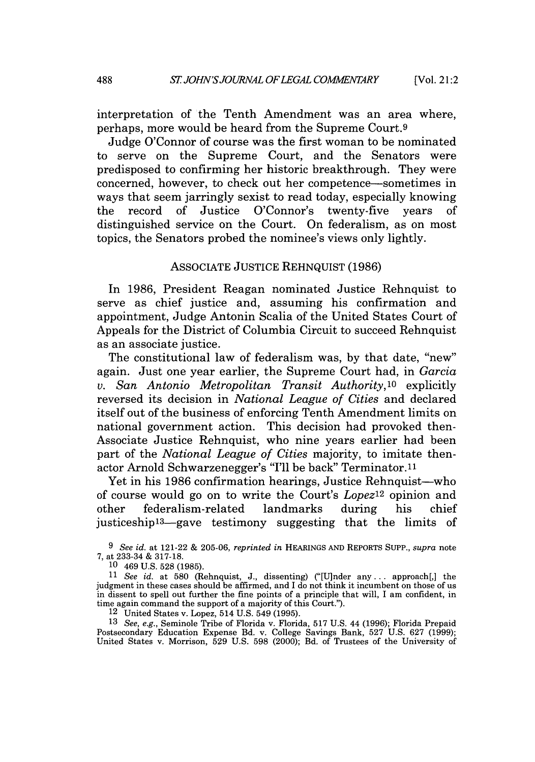interpretation of the Tenth Amendment was an area where, perhaps, more would be heard from the Supreme Court.9

Judge O'Connor of course was the first woman to be nominated to serve on the Supreme Court, and the Senators were predisposed to confirming her historic breakthrough. They were concerned, however, to check out her competence-sometimes in ways that seem jarringly sexist to read today, especially knowing the record of Justice O'Connor's twenty-five years of distinguished service on the Court. On federalism, as on most topics, the Senators probed the nominee's views only lightly.

#### ASSOCIATE JUSTICE REHNQUIST (1986)

In 1986, President Reagan nominated Justice Rehnquist to serve as chief justice and, assuming his confirmation and appointment, Judge Antonin Scalia of the United States Court of Appeals for the District of Columbia Circuit to succeed Rehnquist as an associate justice.

The constitutional law of federalism was, by that date, "new" again. Just one year earlier, the Supreme Court had, in *Garcia v. San Antonio Metropolitan Transit Authority,'0* explicitly reversed its decision in *National League of Cities* and declared itself out of the business of enforcing Tenth Amendment limits on national government action. This decision had provoked then-Associate Justice Rehnquist, who nine years earlier had been part of the *National League of Cities* majority, to imitate thenactor Arnold Schwarzenegger's "I'll be back" Terminator.<sup>11</sup>

Yet in his 1986 confirmation hearings, Justice Rehnquist-who of course would go on to write the Court's *Lopezl <sup>2</sup>*opinion and other federalism-related landmarks during his chief justiceship<sup>13</sup>—gave testimony suggesting that the limits of

*9 See id.* at 121-22 & 205-06, *reprinted in* HEARINGS AND REPORTS SUPP., *supra* note 7, at 233-34 & 317-18.

10 469 U.S. 528 (1985).

<sup>11</sup>*See id.* at 580 (Rehnquist, J., dissenting) ("[U]nder any... approach[,] the judgment in these cases should be affirmed, and I do not think it incumbent on those of us in dissent to spell out further the fine points of a principle that will, I am confident, in time again command the support of a majority of this Court.").

12 United States v. Lopez, 514 U.S. 549 (1995).

13 *See, e.g.,* Seminole Tribe of Florida v. Florida, 517 U.S. 44 (1996); Florida Prepaid Postsecondary Education Expense Bd. v. College Savings Bank, 527 U.S. 627 (1999); United States v. Morrison, 529 U.S. 598 (2000); Bd. of Trustees of the University of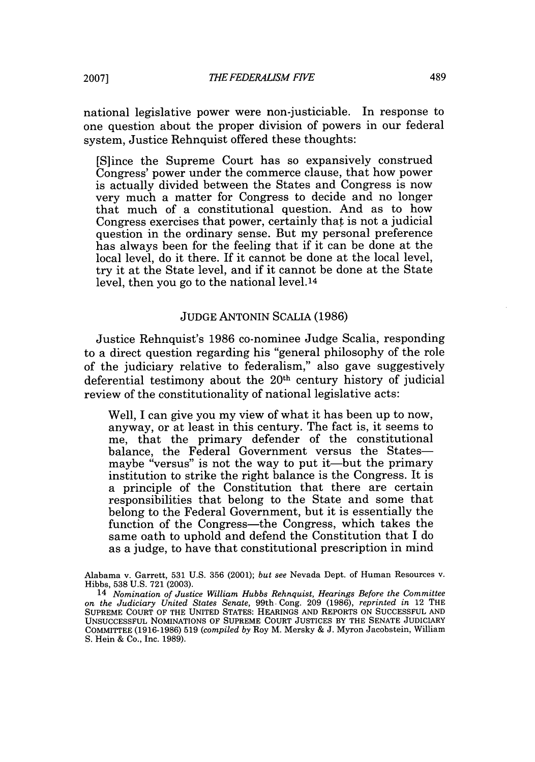national legislative power were non-justiciable. In response to one question about the proper division of powers in our federal system, Justice Rehnquist offered these thoughts:

[S]ince the Supreme Court has so expansively construed Congress' power under the commerce clause, that how power is actually divided between the States and Congress is now very much a matter for Congress to decide and no longer that much of a constitutional question. And as to how Congress exercises that power, certainly that is not a judicial question in the ordinary sense. But my personal preference has always been for the feeling that if it can be done at the local level, do it there. If it cannot be done at the local level, try it at the State level, and if it cannot be done at the State level, then you go to the national level.14

#### JUDGE ANTONIN SCALIA (1986)

Justice Rehnquist's 1986 co-nominee Judge Scalia, responding to a direct question regarding his "general philosophy of the role of the judiciary relative to federalism," also gave suggestively deferential testimony about the  $20<sup>th</sup>$  century history of judicial review of the constitutionality of national legislative acts:

Well, I can give you my view of what it has been up to now, anyway, or at least in this century. The fact is, it seems to me, that the primary defender of the constitutional balance, the Federal Government versus the Statesmaybe "versus" is not the way to put it—but the primary institution to strike the right balance is the Congress. It is a principle of the Constitution that there are certain responsibilities that belong to the State and some that belong to the Federal Government, but it is essentially the function of the Congress-the Congress, which takes the same oath to uphold and defend the Constitution that I do as a judge, to have that constitutional prescription in mind

Alabama v. Garrett, 531 U.S. 356 (2001); *but see* Nevada Dept. of Human Resources v. Hibbs, 538 U.S. 721 (2003).

<sup>14</sup> *Nomination of Justice William Hubbs Rehnquist, Hearings Before the Committee on the Judiciary United States Senate,* 99th. Cong. 209 (1986), *reprinted in* 12 THE SUPREME COURT OF THE UNITED STATES: HEARINGS **AND** REPORTS **ON SUCCESSFUL AND** UNSUCCESSFUL NOMINATIONS OF SUPREME COURT JUSTICES BY THE SENATE JUDICIARY COMMITTEE (1916-1986) **519** *(compiled by* Roy M. Mersky & J. Myron Jacobstein, William S. Hein & Co., Inc. 1989).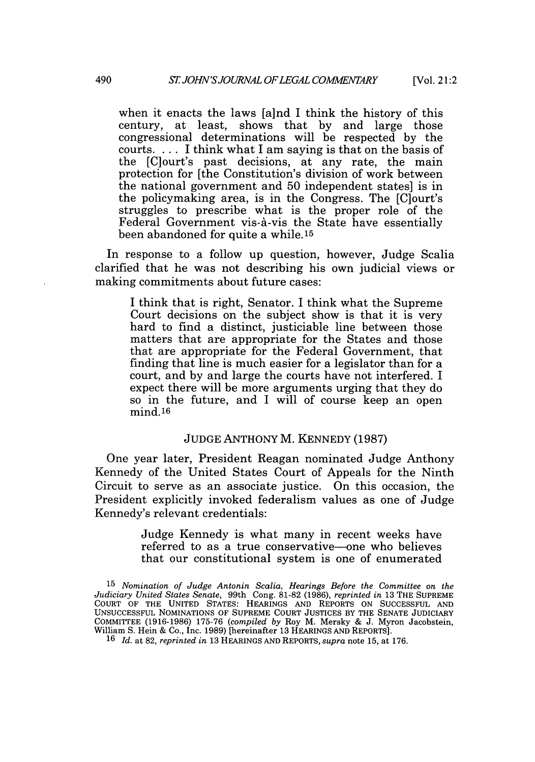when it enacts the laws [a]nd I think the history of this century, at least, shows that by and large those congressional determinations will be respected by the courts. ... I think what I am saying is that on the basis of the [C]ourt's past decisions, at any rate, the main protection for [the Constitution's division of work between the national government and 50 independent states] is in the policymaking area, is in the Congress. The [C]ourt's struggles to prescribe what is the proper role of the Federal Government vis-à-vis the State have essentially been abandoned for quite a while. 15

In response to a follow up question, however, Judge Scalia clarified that he was not describing his own judicial views or making commitments about future cases:

I think that is right, Senator. I think what the Supreme Court decisions on the subject show is that it is very hard to find a distinct, justiciable line between those matters that are appropriate for the States and those that are appropriate for the Federal Government, that finding that line is much easier for a legislator than for a court, and by and large the courts have not interfered. I expect there will be more arguments urging that they do so in the future, and I will of course keep an open mind.16

#### JUDGE ANTHONY M. KENNEDY (1987)

One year later, President Reagan nominated Judge Anthony Kennedy of the United States Court of Appeals for the Ninth Circuit to serve as an associate justice. On this occasion, the President explicitly invoked federalism values as one of Judge Kennedy's relevant credentials:

> Judge Kennedy is what many in recent weeks have referred to as a true conservative-one who believes that our constitutional system is one of enumerated

<sup>15</sup> *Nomination of Judge Antonin Scalia, Hearings Before the Committee on the Judiciary United States Senate,* 99th Cong. 81-82 (1986), *reprinted in* 13 THE SUPREME COURT OF THE UNITED STATES: HEARINGS AND REPORTS ON SUCCESSFUL AND UNSUCCESSFUL NOMINATIONS OF SUPREME COURT JUSTICES BY THE SENATE JUDICIARY COMMITTEE (1916-1986) 175-76 *(compiled by* Roy M. Mersky & J. Myron Jacobstein, William S. Hein & Co., Inc. 1989) [hereinafter 13 HEARINGS AND REPORTS].

<sup>16</sup> *Id.* at 82, *reprinted in* 13 HEARINGS AND REPORTS, *supra* note 15, at 176.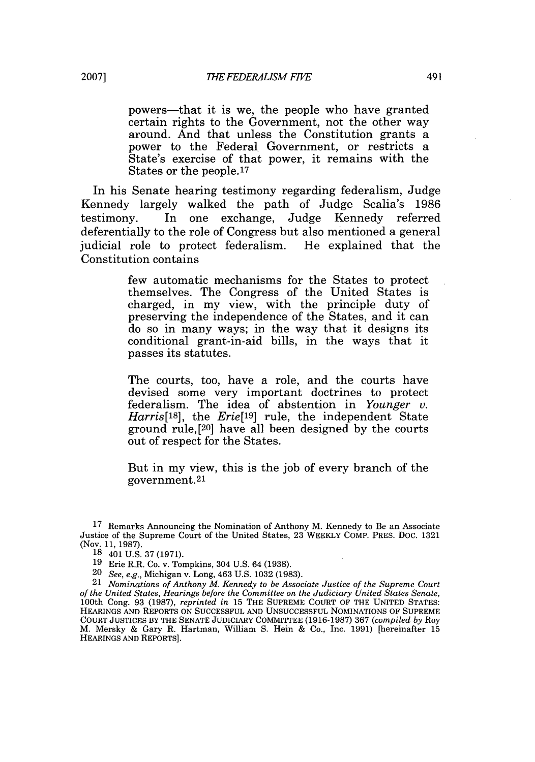powers-that it is we, the people who have granted certain rights to the Government, not the other way around. And that unless the Constitution grants a power to the Federal Government, or restricts a State's exercise of that power, it remains with the States or the people.17

In his Senate hearing testimony regarding federalism, Judge Kennedy largely walked the path of Judge Scalia's 1986 testimony. In one exchange, Judge Kennedy referred deferentially to the role of Congress but also mentioned a general judicial role to protect federalism. He explained that the Constitution contains

> few automatic mechanisms for the States to protect themselves. The Congress of the United States is charged, in my view, with the principle duty of preserving the independence of the States, and it can do so in many ways; in the way that it designs its conditional grant-in-aid bills, in the ways that it passes its statutes.

> The courts, too, have a role, and the courts have devised some very important doctrines to protect federalism. The idea of abstention in *Younger v. Harris[IS],* the *Erie[19]* rule, the independent State ground rule, [20] have all been designed by the courts out of respect for the States.

> But in my view, this is the job of every branch of the government. <sup>21</sup>

<sup>17</sup> Remarks Announcing the Nomination of Anthony M. Kennedy to Be an Associate Justice of the Supreme Court of the United States, 23 WEEKLY COMP. PRES. Doc. 1321 (Nov. 11, 1987).

**<sup>18</sup>** 401 U.S. 37 (1971).

<sup>19</sup> Erie R.R. Co. v. Tompkins, 304 U.S. 64 (1938).

<sup>20</sup> *See, e.g.,* Michigan v. Long, 463 U.S. 1032 (1983).

<sup>21</sup> *Nominations of Anthony M. Kennedy to be Associate Justice of the Supreme Court of the United States, Hearings before the Committee on the Judiciary United States Senate,* 100th Cong. 93 (1987), *reprinted in* 15 THE SUPREME COURT OF THE UNITED STATES: HEARINGS AND REPORTS ON SUCCESSFUL AND UNSUCCESSFUL NOMINATIONS OF SUPREME COURT JUSTICES BY THE SENATE JUDICIARY COMMITTEE (1916-1987) 367 *(compiled by* Roy M. Mersky & Gary R. Hartman, William S. Hein & Co., Inc. 1991) [hereinafter 15 HEARINGS AND REPORTS].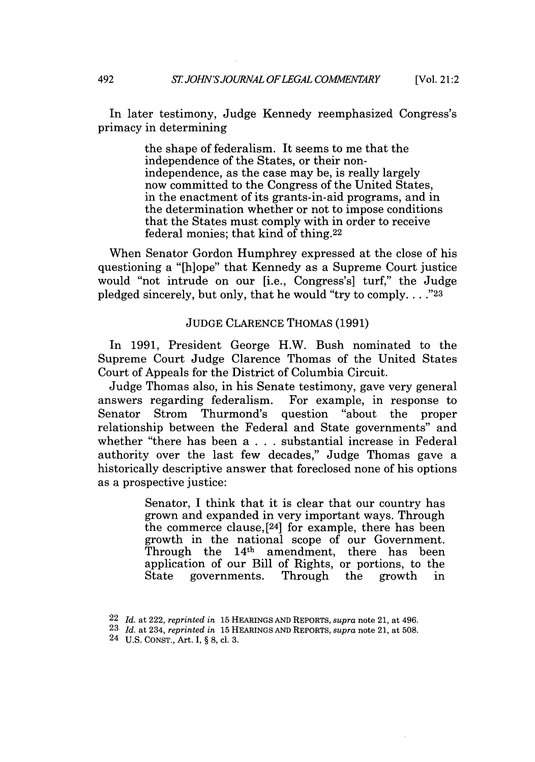In later testimony, Judge Kennedy reemphasized Congress's primacy in determining

> the shape of federalism. It seems to me that the independence of the States, or their nonindependence, as the case may be, is really largely now committed to the Congress of the United States, in the enactment of its grants-in-aid programs, and in the determination whether or not to impose conditions that the States must comply with in order to receive federal monies; that kind of thing.22

When Senator Gordon Humphrey expressed at the close of his questioning a "[h]ope" that Kennedy as a Supreme Court justice would "not intrude on our [i.e., Congress's] turf," the Judge pledged sincerely, but only, that he would "try to comply.  $\ldots$ ."<sup>23</sup>

#### JUDGE CLARENCE THOMAS (1991)

In 1991, President George H.W. Bush nominated to the Supreme Court Judge Clarence Thomas of the United States Court of Appeals for the District of Columbia Circuit.

Judge Thomas also, in his Senate testimony, gave very general answers regarding federalism. For example, in response to Senator Strom Thurmond's question "about the proper relationship between the Federal and State governments" and whether "there has been a . . . substantial increase in Federal authority over the last few decades," Judge Thomas gave a historically descriptive answer that foreclosed none of his options as a prospective justice:

> Senator, I think that it is clear that our country has grown and expanded in very important ways. Through the commerce clause,[24] for example, there has been growth in the national scope of our Government. Through the  $14<sup>th</sup>$  amendment, there has been application of our Bill of Rights, or portions, to the<br>State governments. Through the growth in governments. Through the growth in

<sup>22</sup> *Id.* at 222, *reprinted in* 15 HEARINGS AND REPORTS, *supra* note 21, at 496.

<sup>23</sup> *Id.* at 234, *reprinted in* 15 HEARINGS **AND** REPORTS, *supra* note 21, at 508.

<sup>24</sup> U.S. CONST., Art. I, § **8,** cl. 3.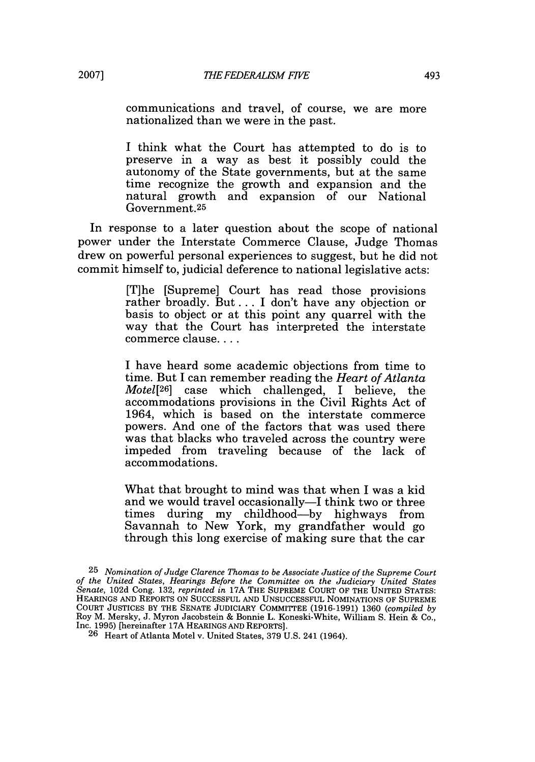**2007]**

communications and travel, of course, we are more nationalized than we were in the past.

I think what the Court has attempted to do is to preserve in a way as best it possibly could the autonomy of the State governments, but at the same time recognize the growth and expansion and the natural growth and expansion of our National Government.25

In response to a later question about the scope of national power under the Interstate Commerce Clause, Judge Thomas drew on powerful personal experiences to suggest, but he did not commit himself to, judicial deference to national legislative acts:

> [T]he [Supreme] Court has read those provisions rather broadly. But... I don't have any objection or basis to object or at this point any quarrel with the way that the Court has interpreted the interstate commerce clause....

> I have heard some academic objections from time to time. But I can remember reading the *Heart of Atlanta Motel[26]* case which challenged, I believe, the accommodations provisions in the Civil Rights Act of 1964, which is based on the interstate commerce powers. And one of the factors that was used there was that blacks who traveled across the country were impeded from traveling because of the lack of accommodations.

> What that brought to mind was that when I was a kid and we would travel occasionally-I think two or three times during my childhood-by highways from Savannah to New York, my grandfather would go through this long exercise of making sure that the car

<sup>25</sup> *Nomination of Judge Clarence Thomas to be Associate Justice of the Supreme Court of the United States, Hearings Before the Committee on the Judiciary United States Senate,* 102d Cong. 132, *reprinted in* 17A THE SUPREME COURT OF THE UNITED STATES: HEARINGS AND REPORTS ON SUCCESSFUL AND UNSUCCESSFUL NOMINATIONS OF SUPREME COURT JUSTICES BY THE SENATE JUDICIARY COMMITTEE (1916-1991) 1360 *(compiled by* Roy M. Mersky, J. Myron Jacobstein & Bonnie L. Koneski-White, William S. Hein & Co., Inc. 1995) [hereinafter 17A HEARINGS AND REPORTS].

<sup>26</sup> Heart of Atlanta Motel v. United States, 379 U.S. 241 (1964).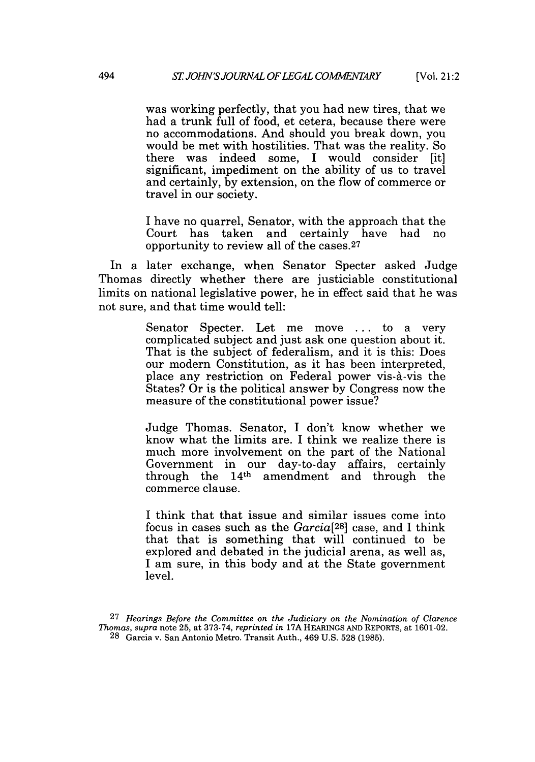was working perfectly, that you had new tires, that we had a trunk full of food, et cetera, because there were no accommodations. And should you break down, you would be met with hostilities. That was the reality. So there was indeed some, I would consider [it] significant, impediment on the ability of us to travel and certainly, by extension, on the flow of commerce or travel in our society.

I have no quarrel, Senator, with the approach that the Court has taken and certainly have had no opportunity to review all of the cases.27

In a later exchange, when Senator Specter asked Judge Thomas directly whether there are justiciable constitutional limits on national legislative power, he in effect said that he was not sure, and that time would tell:

> Senator Specter. Let me move ... to a very complicated subject and just ask one question about it. That is the subject of federalism, and it is this: Does our modern Constitution, as it has been interpreted, place any restriction on Federal power vis-A-vis the States? Or is the political answer by Congress now the measure of the constitutional power issue?

> Judge Thomas. Senator, I don't know whether we know what the limits are. I think we realize there is much more involvement on the part of the National Government in our day-to-day affairs, certainly through the  $14<sup>th</sup>$  amendment and through the commerce clause.

> I think that that issue and similar issues come into focus in cases such as the *Garcia[28 ]* case, and I think that that is something that will continued to be explored and debated in the judicial arena, as well as, I am sure, in this body and at the State government level.

<sup>27</sup> *Hearings Before the Committee on the Judiciary on the Nomination of Clarence Thomas, supra* note 25, at 373-74, *reprinted in* 17A HEARINGS AND REPORTS, at **1601-02. 28** Garcia v. San Antonio Metro. Transit Auth., 469 U.S. 528 (1985).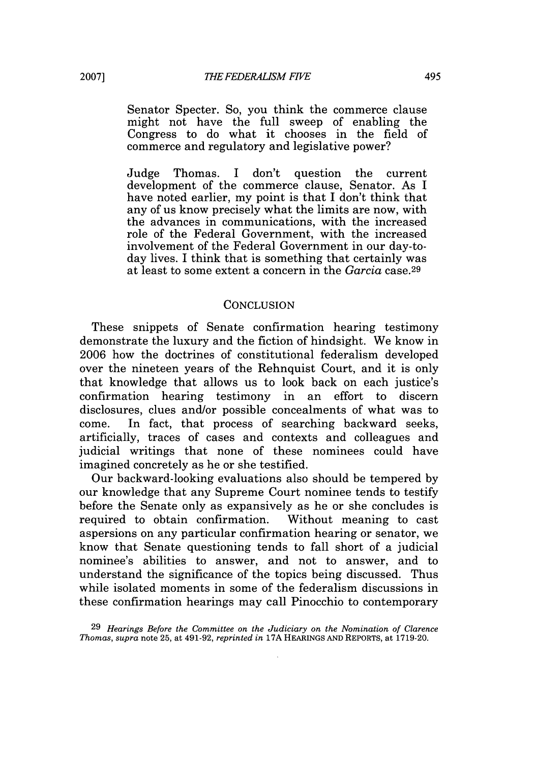Senator Specter. So, you think the commerce clause might not have the full sweep of enabling the Congress to do what it chooses in the field of commerce and regulatory and legislative power?

Judge Thomas. I don't question the current development of the commerce clause, Senator. As I have noted earlier, my point is that I don't think that any of us know precisely what the limits are now, with the advances in communications, with the increased role of the Federal Government, with the increased involvement of the Federal Government in our day-today lives. I think that is something that certainly was at least to some extent a concern in the *Garcia* case. <sup>29</sup>

#### **CONCLUSION**

These snippets of Senate confirmation hearing testimony demonstrate the luxury and the fiction of hindsight. We know in 2006 how the doctrines of constitutional federalism developed over the nineteen years of the Rehnquist Court, and it is only that knowledge that allows us to look back on each justice's confirmation hearing testimony in an effort to discern disclosures, clues and/or possible concealments of what was to come. In fact, that process of searching backward seeks, artificially, traces of cases and contexts and colleagues and judicial writings that none of these nominees could have imagined concretely as he or she testified.

Our backward-looking evaluations also should be tempered by our knowledge that any Supreme Court nominee tends to testify before the Senate only as expansively as he or she concludes is required to obtain confirmation. Without meaning to cast aspersions on any particular confirmation hearing or senator, we know that Senate questioning tends to fall short of a judicial nominee's abilities to answer, and not to answer, and to understand the significance of the topics being discussed. Thus while isolated moments in some of the federalism discussions in these confirmation hearings may call Pinocchio to contemporary

29 *Hearings Before the Committee on the Judiciary on the Nomination of Clarence Thomas, supra* note 25, at 491-92, *reprinted in* 17A HEARINGS **AND** REPORTS, at **1719-20.**